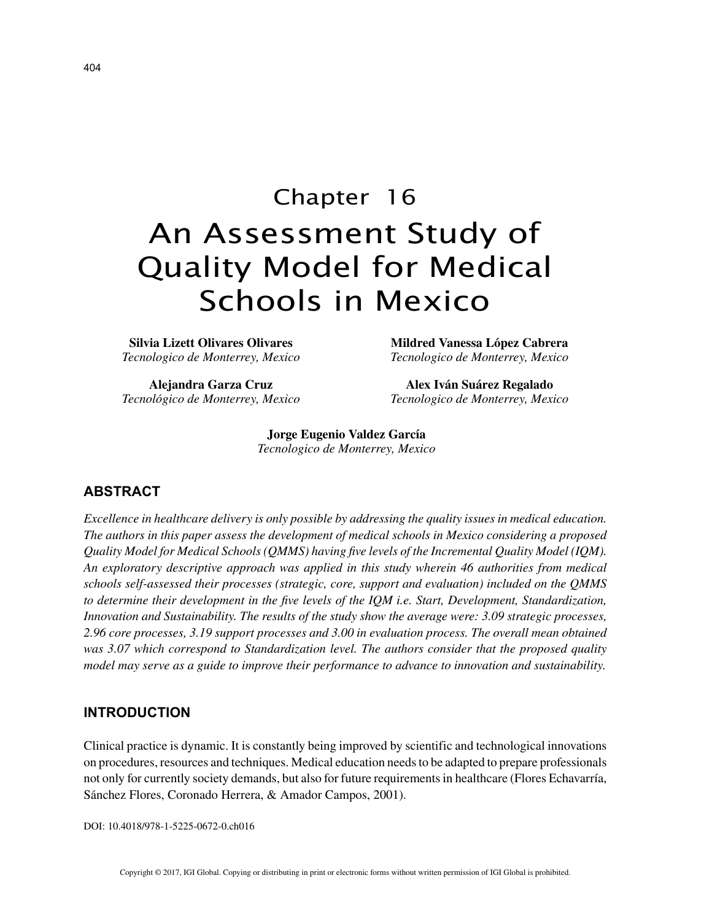# Chapter 16 An Assessment Study of Quality Model for Medical Schools in Mexico

**Silvia Lizett Olivares Olivares** *Tecnologico de Monterrey, Mexico*

**Alejandra Garza Cruz** *Tecnológico de Monterrey, Mexico*

**Mildred Vanessa López Cabrera** *Tecnologico de Monterrey, Mexico*

**Alex Iván Suárez Regalado** *Tecnologico de Monterrey, Mexico*

**Jorge Eugenio Valdez García** *Tecnologico de Monterrey, Mexico*

# **ABSTRACT**

*Excellence in healthcare delivery is only possible by addressing the quality issues in medical education. The authors in this paper assess the development of medical schools in Mexico considering a proposed Quality Model for Medical Schools (QMMS) having five levels of the Incremental Quality Model (IQM). An exploratory descriptive approach was applied in this study wherein 46 authorities from medical schools self-assessed their processes (strategic, core, support and evaluation) included on the QMMS to determine their development in the five levels of the IQM i.e. Start, Development, Standardization, Innovation and Sustainability. The results of the study show the average were: 3.09 strategic processes, 2.96 core processes, 3.19 support processes and 3.00 in evaluation process. The overall mean obtained was 3.07 which correspond to Standardization level. The authors consider that the proposed quality model may serve as a guide to improve their performance to advance to innovation and sustainability.*

## **INTRODUCTION**

Clinical practice is dynamic. It is constantly being improved by scientific and technological innovations on procedures, resources and techniques. Medical education needs to be adapted to prepare professionals not only for currently society demands, but also for future requirements in healthcare (Flores Echavarría, Sánchez Flores, Coronado Herrera, & Amador Campos, 2001).

DOI: 10.4018/978-1-5225-0672-0.ch016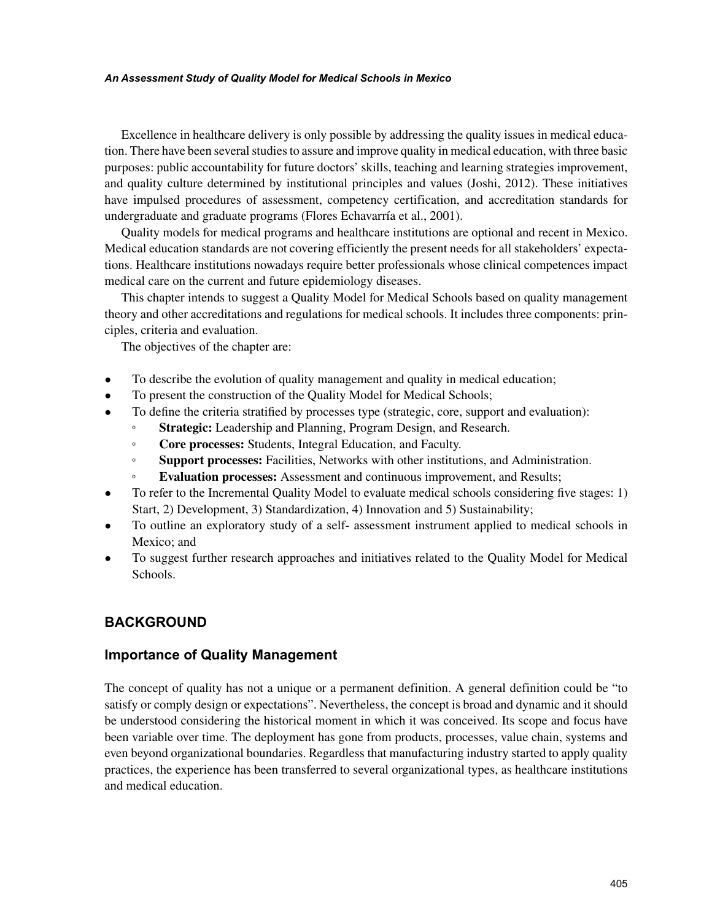#### *An Assessment Study of Quality Model for Medical Schools in Mexico*

Excellence in healthcare delivery is only possible by addressing the quality issues in medical education. There have been several studies to assure and improve quality in medical education, with three basic purposes: public accountability for future doctors' skills, teaching and learning strategies improvement, and quality culture determined by institutional principles and values (Joshi, 2012). These initiatives have impulsed procedures of assessment, competency certification, and accreditation standards for undergraduate and graduate programs (Flores Echavarría et al., 2001).

Quality models for medical programs and healthcare institutions are optional and recent in Mexico. Medical education standards are not covering efficiently the present needs for all stakeholders' expectations. Healthcare institutions nowadays require better professionals whose clinical competences impact medical care on the current and future epidemiology diseases.

This chapter intends to suggest a Quality Model for Medical Schools based on quality management theory and other accreditations and regulations for medical schools. It includes three components: principles, criteria and evaluation.

The objectives of the chapter are:

- To describe the evolution of quality management and quality in medical education;
- To present the construction of the Quality Model for Medical Schools;
- To define the criteria stratified by processes type (strategic, core, support and evaluation):
	- **Strategic:** Leadership and Planning, Program Design, and Research.
	- **Core processes:** Students, Integral Education, and Faculty.
	- **Support processes:** Facilities, Networks with other institutions, and Administration.
	- **Evaluation processes:** Assessment and continuous improvement, and Results;
- To refer to the Incremental Quality Model to evaluate medical schools considering five stages: 1) Start, 2) Development, 3) Standardization, 4) Innovation and 5) Sustainability;
- To outline an exploratory study of a self- assessment instrument applied to medical schools in Mexico; and
- To suggest further research approaches and initiatives related to the Quality Model for Medical Schools.

# **BACKGROUND**

## **Importance of Quality Management**

The concept of quality has not a unique or a permanent definition. A general definition could be "to satisfy or comply design or expectations". Nevertheless, the concept is broad and dynamic and it should be understood considering the historical moment in which it was conceived. Its scope and focus have been variable over time. The deployment has gone from products, processes, value chain, systems and even beyond organizational boundaries. Regardless that manufacturing industry started to apply quality practices, the experience has been transferred to several organizational types, as healthcare institutions and medical education.